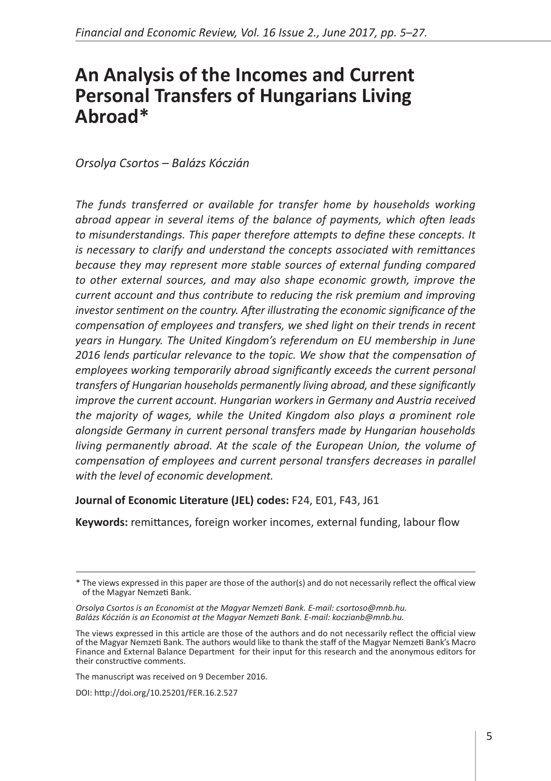# **An Analysis of the Incomes and Current Personal Transfers of Hungarians Living Abroad\***

*Orsolya Csortos – Balázs Kóczián*

*The funds transferred or available for transfer home by households working abroad appear in several items of the balance of payments, which often leads to misunderstandings. This paper therefore attempts to define these concepts. It is necessary to clarify and understand the concepts associated with remittances because they may represent more stable sources of external funding compared to other external sources, and may also shape economic growth, improve the current account and thus contribute to reducing the risk premium and improving investor sentiment on the country. After illustrating the economic significance of the compensation of employees and transfers, we shed light on their trends in recent years in Hungary. The United Kingdom's referendum on EU membership in June 2016 lends particular relevance to the topic. We show that the compensation of employees working temporarily abroad significantly exceeds the current personal transfers of Hungarian households permanently living abroad, and these significantly improve the current account. Hungarian workers in Germany and Austria received the majority of wages, while the United Kingdom also plays a prominent role alongside Germany in current personal transfers made by Hungarian households living permanently abroad. At the scale of the European Union, the volume of compensation of employees and current personal transfers decreases in parallel with the level of economic development.* 

#### **Journal of Economic Literature (JEL) codes:** F24, E01, F43, J61

**Keywords:** remittances, foreign worker incomes, external funding, labour flow

The manuscript was received on 9 December 2016.

DOI: <http://doi.org/10.25201/FER.16.2.527>

<sup>\*</sup> The views expressed in this paper are those of the author(s) and do not necessarily reflect the offical view of the Magyar Nemzeti Bank.

*Orsolya Csortos is an Economist at the Magyar Nemzeti Bank. E-mail: csortoso@mnb.hu. Balázs Kóczián is an Economist at the Magyar Nemzeti Bank. E-mail: koczianb@mnb.hu.*

The views expressed in this article are those of the authors and do not necessarily reflect the official view of the Magyar Nemzeti Bank. The authors would like to thank the staff of the Magyar Nemzeti Bank's Macro Finance and External Balance Department for their input for this research and the anonymous editors for their constructive comments.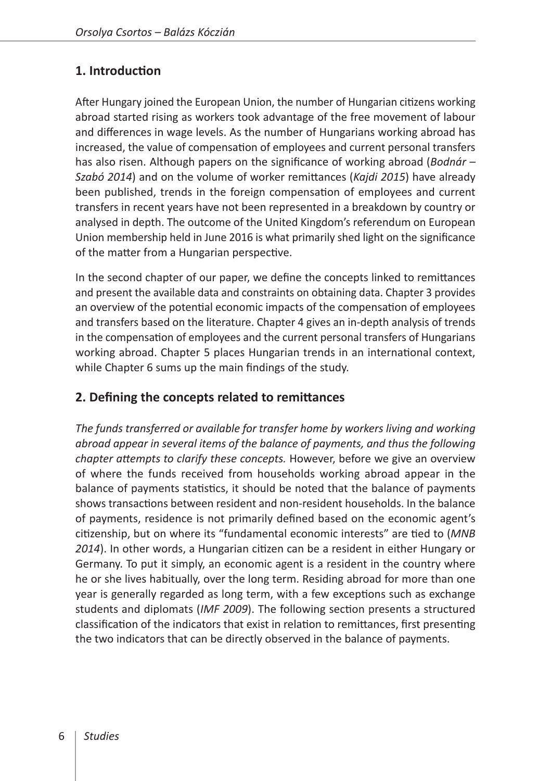# **1. Introduction**

After Hungary joined the European Union, the number of Hungarian citizens working abroad started rising as workers took advantage of the free movement of labour and differences in wage levels. As the number of Hungarians working abroad has increased, the value of compensation of employees and current personal transfers has also risen. Although papers on the significance of working abroad (*Bodnár – Szabó 2014*) and on the volume of worker remittances (*Kajdi 2015*) have already been published, trends in the foreign compensation of employees and current transfers in recent years have not been represented in a breakdown by country or analysed in depth. The outcome of the United Kingdom's referendum on European Union membership held in June 2016 is what primarily shed light on the significance of the matter from a Hungarian perspective.

In the second chapter of our paper, we define the concepts linked to remittances and present the available data and constraints on obtaining data. Chapter 3 provides an overview of the potential economic impacts of the compensation of employees and transfers based on the literature. Chapter 4 gives an in-depth analysis of trends in the compensation of employees and the current personal transfers of Hungarians working abroad. Chapter 5 places Hungarian trends in an international context, while Chapter 6 sums up the main findings of the study.

### **2. Defining the concepts related to remittances**

*The funds transferred or available for transfer home by workers living and working abroad appear in several items of the balance of payments, and thus the following chapter attempts to clarify these concepts.* However, before we give an overview of where the funds received from households working abroad appear in the balance of payments statistics, it should be noted that the balance of payments shows transactions between resident and non-resident households. In the balance of payments, residence is not primarily defined based on the economic agent's citizenship, but on where its "fundamental economic interests" are tied to (*MNB 2014*). In other words, a Hungarian citizen can be a resident in either Hungary or Germany. To put it simply, an economic agent is a resident in the country where he or she lives habitually, over the long term. Residing abroad for more than one year is generally regarded as long term, with a few exceptions such as exchange students and diplomats (*IMF 2009*). The following section presents a structured classification of the indicators that exist in relation to remittances, first presenting the two indicators that can be directly observed in the balance of payments.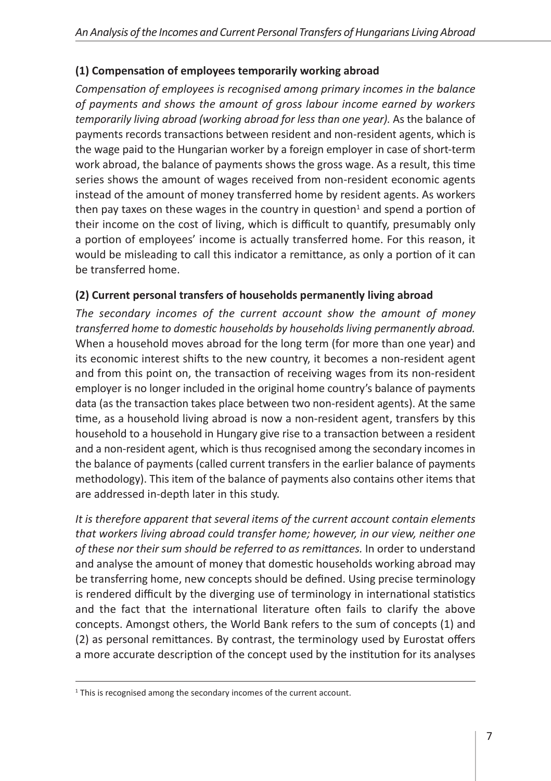## **(1) Compensation of employees temporarily working abroad**

*Compensation of employees is recognised among primary incomes in the balance of payments and shows the amount of gross labour income earned by workers temporarily living abroad (working abroad for less than one year).* As the balance of payments records transactions between resident and non-resident agents, which is the wage paid to the Hungarian worker by a foreign employer in case of short-term work abroad, the balance of payments shows the gross wage. As a result, this time series shows the amount of wages received from non-resident economic agents instead of the amount of money transferred home by resident agents. As workers then pay taxes on these wages in the country in question<sup>1</sup> and spend a portion of their income on the cost of living, which is difficult to quantify, presumably only a portion of employees' income is actually transferred home. For this reason, it would be misleading to call this indicator a remittance, as only a portion of it can be transferred home.

### **(2) Current personal transfers of households permanently living abroad**

*The secondary incomes of the current account show the amount of money transferred home to domestic households by households living permanently abroad.* When a household moves abroad for the long term (for more than one year) and its economic interest shifts to the new country, it becomes a non-resident agent and from this point on, the transaction of receiving wages from its non-resident employer is no longer included in the original home country's balance of payments data (as the transaction takes place between two non-resident agents). At the same time, as a household living abroad is now a non-resident agent, transfers by this household to a household in Hungary give rise to a transaction between a resident and a non-resident agent, which is thus recognised among the secondary incomes in the balance of payments (called current transfers in the earlier balance of payments methodology). This item of the balance of payments also contains other items that are addressed in-depth later in this study.

*It is therefore apparent that several items of the current account contain elements that workers living abroad could transfer home; however, in our view, neither one of these nor their sum should be referred to as remittances.* In order to understand and analyse the amount of money that domestic households working abroad may be transferring home, new concepts should be defined. Using precise terminology is rendered difficult by the diverging use of terminology in international statistics and the fact that the international literature often fails to clarify the above concepts. Amongst others, the World Bank refers to the sum of concepts (1) and (2) as personal remittances. By contrast, the terminology used by Eurostat offers a more accurate description of the concept used by the institution for its analyses

<sup>&</sup>lt;sup>1</sup> This is recognised among the secondary incomes of the current account.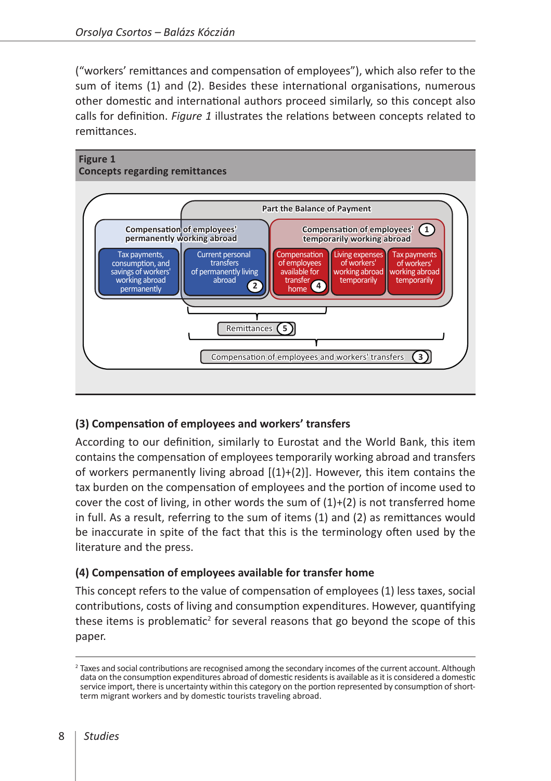("workers' remittances and compensation of employees"), which also refer to the sum of items (1) and (2). Besides these international organisations, numerous other domestic and international authors proceed similarly, so this concept also calls for definition. *Figure 1* illustrates the relations between concepts related to remittances.



#### **(3) Compensation of employees and workers' transfers**

According to our definition, similarly to Eurostat and the World Bank, this item contains the compensation of employees temporarily working abroad and transfers of workers permanently living abroad  $[(1)+(2)]$ . However, this item contains the tax burden on the compensation of employees and the portion of income used to cover the cost of living, in other words the sum of  $(1)+(2)$  is not transferred home in full. As a result, referring to the sum of items (1) and (2) as remittances would be inaccurate in spite of the fact that this is the terminology often used by the literature and the press.

#### **(4) Compensation of employees available for transfer home**

This concept refers to the value of compensation of employees (1) less taxes, social contributions, costs of living and consumption expenditures. However, quantifying these items is problematic<sup>2</sup> for several reasons that go beyond the scope of this paper.

<sup>&</sup>lt;sup>2</sup> Taxes and social contributions are recognised among the secondary incomes of the current account. Although data on the consumption expenditures abroad of domestic residents is available as it is considered a domestic service import, there is uncertainty within this category on the portion represented by consumption of shortterm migrant workers and by domestic tourists traveling abroad.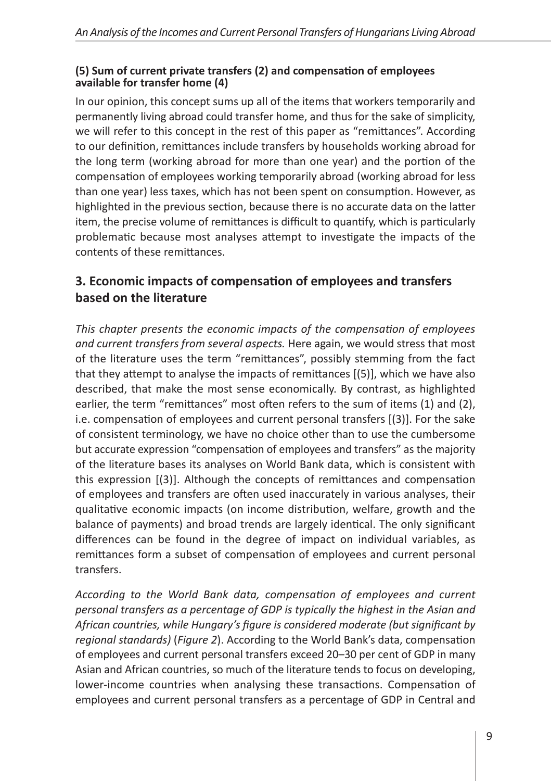#### **(5) Sum of current private transfers (2) and compensation of employees available for transfer home (4)**

In our opinion, this concept sums up all of the items that workers temporarily and permanently living abroad could transfer home, and thus for the sake of simplicity, we will refer to this concept in the rest of this paper as "remittances". According to our definition, remittances include transfers by households working abroad for the long term (working abroad for more than one year) and the portion of the compensation of employees working temporarily abroad (working abroad for less than one year) less taxes, which has not been spent on consumption. However, as highlighted in the previous section, because there is no accurate data on the latter item, the precise volume of remittances is difficult to quantify, which is particularly problematic because most analyses attempt to investigate the impacts of the contents of these remittances.

# **3. Economic impacts of compensation of employees and transfers based on the literature**

*This chapter presents the economic impacts of the compensation of employees and current transfers from several aspects.* Here again, we would stress that most of the literature uses the term "remittances", possibly stemming from the fact that they attempt to analyse the impacts of remittances [(5)], which we have also described, that make the most sense economically. By contrast, as highlighted earlier, the term "remittances" most often refers to the sum of items (1) and (2), i.e. compensation of employees and current personal transfers [(3)]. For the sake of consistent terminology, we have no choice other than to use the cumbersome but accurate expression "compensation of employees and transfers" as the majority of the literature bases its analyses on World Bank data, which is consistent with this expression [(3)]. Although the concepts of remittances and compensation of employees and transfers are often used inaccurately in various analyses, their qualitative economic impacts (on income distribution, welfare, growth and the balance of payments) and broad trends are largely identical. The only significant differences can be found in the degree of impact on individual variables, as remittances form a subset of compensation of employees and current personal transfers.

*According to the World Bank data, compensation of employees and current personal transfers as a percentage of GDP is typically the highest in the Asian and African countries, while Hungary's figure is considered moderate (but significant by regional standards)* (*Figure 2*). According to the World Bank's data, compensation of employees and current personal transfers exceed 20–30 per cent of GDP in many Asian and African countries, so much of the literature tends to focus on developing, lower-income countries when analysing these transactions. Compensation of employees and current personal transfers as a percentage of GDP in Central and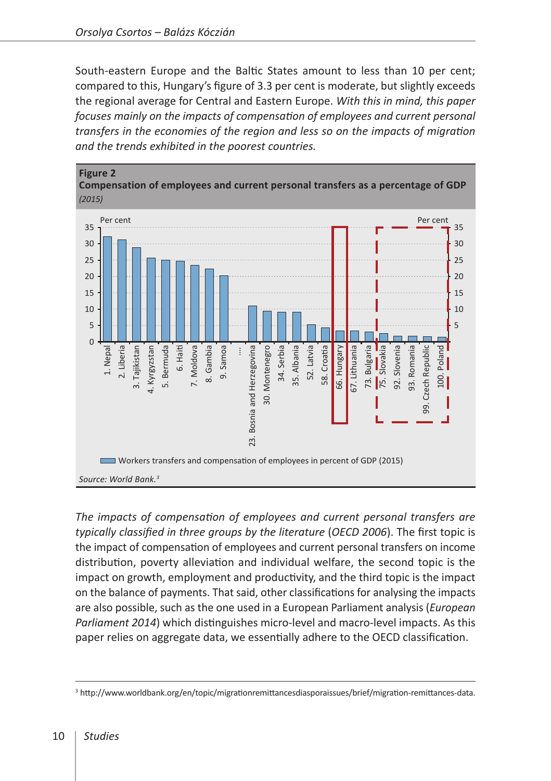South-eastern Europe and the Baltic States amount to less than 10 per cent; compared to this, Hungary's figure of 3.3 per cent is moderate, but slightly exceeds the regional average for Central and Eastern Europe. *With this in mind, this paper focuses mainly on the impacts of compensation of employees and current personal transfers in the economies of the region and less so on the impacts of migration and the trends exhibited in the poorest countries.*



*The impacts of compensation of employees and current personal transfers are typically classified in three groups by the literature* (*OECD 2006*). The first topic is the impact of compensation of employees and current personal transfers on income distribution, poverty alleviation and individual welfare, the second topic is the impact on growth, employment and productivity, and the third topic is the impact on the balance of payments. That said, other classifications for analysing the impacts are also possible, such as the one used in a European Parliament analysis (*European Parliament 2014*) which distinguishes micro-level and macro-level impacts. As this paper relies on aggregate data, we essentially adhere to the OECD classification.

<sup>3</sup> <http://www.worldbank.org/en/topic/migrationremittancesdiasporaissues/brief/migration-remittances-data>.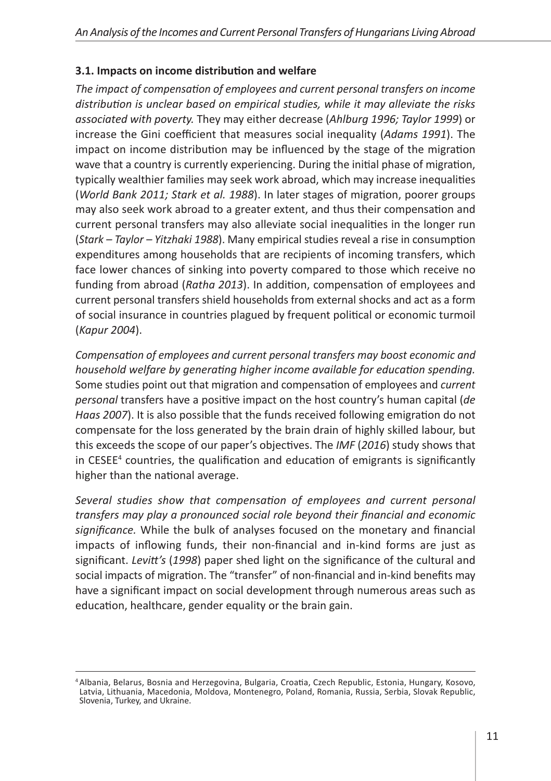#### **3.1. Impacts on income distribution and welfare**

*The impact of compensation of employees and current personal transfers on income distribution is unclear based on empirical studies, while it may alleviate the risks associated with poverty.* They may either decrease (*Ahlburg 1996; Taylor 1999*) or increase the Gini coefficient that measures social inequality (*Adams 1991*). The impact on income distribution may be influenced by the stage of the migration wave that a country is currently experiencing. During the initial phase of migration, typically wealthier families may seek work abroad, which may increase inequalities (*World Bank 2011; Stark et al. 1988*). In later stages of migration, poorer groups may also seek work abroad to a greater extent, and thus their compensation and current personal transfers may also alleviate social inequalities in the longer run (*Stark – Taylor – Yitzhaki 1988*). Many empirical studies reveal a rise in consumption expenditures among households that are recipients of incoming transfers, which face lower chances of sinking into poverty compared to those which receive no funding from abroad (*Ratha 2013*). In addition, compensation of employees and current personal transfers shield households from external shocks and act as a form of social insurance in countries plagued by frequent political or economic turmoil (*Kapur 2004*).

*Compensation of employees and current personal transfers may boost economic and household welfare by generating higher income available for education spending.* Some studies point out that migration and compensation of employees and *current personal* transfers have a positive impact on the host country's human capital (*de Haas 2007*). It is also possible that the funds received following emigration do not compensate for the loss generated by the brain drain of highly skilled labour, but this exceeds the scope of our paper's objectives. The *IMF* (*2016*) study shows that in CESEE<sup>4</sup> countries, the qualification and education of emigrants is significantly higher than the national average.

*Several studies show that compensation of employees and current personal transfers may play a pronounced social role beyond their financial and economic significance.* While the bulk of analyses focused on the monetary and financial impacts of inflowing funds, their non-financial and in-kind forms are just as significant. *Levitt's* (*1998*) paper shed light on the significance of the cultural and social impacts of migration. The "transfer" of non-financial and in-kind benefits may have a significant impact on social development through numerous areas such as education, healthcare, gender equality or the brain gain.

<sup>4</sup> Albania, Belarus, Bosnia and Herzegovina, Bulgaria, Croatia, Czech Republic, Estonia, Hungary, Kosovo, Latvia, Lithuania, Macedonia, Moldova, Montenegro, Poland, Romania, Russia, Serbia, Slovak Republic, Slovenia, Turkey, and Ukraine.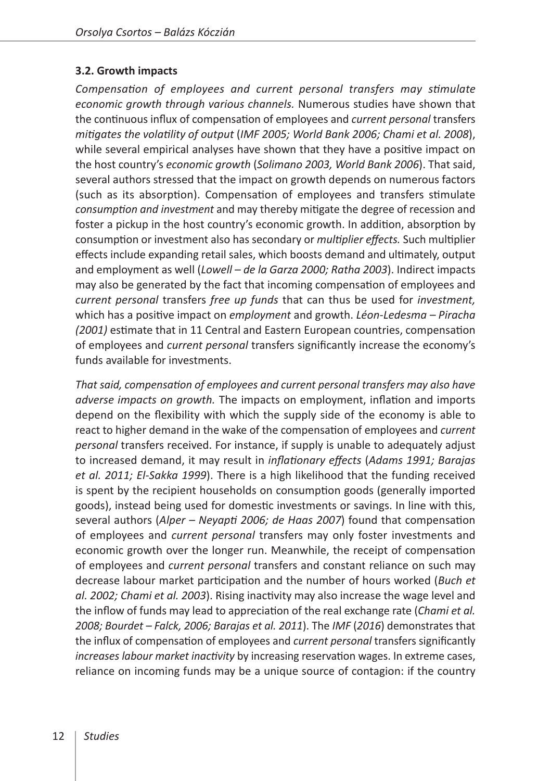#### **3.2. Growth impacts**

*Compensation of employees and current personal transfers may stimulate economic growth through various channels.* Numerous studies have shown that the continuous influx of compensation of employees and *current personal* transfers *mitigates the volatility of output* (*IMF 2005; World Bank 2006; Chami et al. 2008*), while several empirical analyses have shown that they have a positive impact on the host country's *economic growth* (*Solimano 2003, World Bank 2006*). That said, several authors stressed that the impact on growth depends on numerous factors (such as its absorption). Compensation of employees and transfers stimulate *consumption and investment* and may thereby mitigate the degree of recession and foster a pickup in the host country's economic growth. In addition, absorption by consumption or investment also has secondary or *multiplier effects.* Such multiplier effects include expanding retail sales, which boosts demand and ultimately, output and employment as well (*Lowell – de la Garza 2000; Ratha 2003*). Indirect impacts may also be generated by the fact that incoming compensation of employees and *current personal* transfers *free up funds* that can thus be used for *investment,*  which has a positive impact on *employment* and growth. *Léon-Ledesma – Piracha (2001)* estimate that in 11 Central and Eastern European countries, compensation of employees and *current personal* transfers significantly increase the economy's funds available for investments.

*That said, compensation of employees and current personal transfers may also have adverse impacts on growth.* The impacts on employment, inflation and imports depend on the flexibility with which the supply side of the economy is able to react to higher demand in the wake of the compensation of employees and *current personal* transfers received. For instance, if supply is unable to adequately adjust to increased demand, it may result in *inflationary effects* (*Adams 1991; Barajas et al. 2011; El-Sakka 1999*). There is a high likelihood that the funding received is spent by the recipient households on consumption goods (generally imported goods), instead being used for domestic investments or savings. In line with this, several authors (*Alper – Neyapti 2006; de Haas 2007*) found that compensation of employees and *current personal* transfers may only foster investments and economic growth over the longer run. Meanwhile, the receipt of compensation of employees and *current personal* transfers and constant reliance on such may decrease labour market participation and the number of hours worked (*Buch et al. 2002; Chami et al. 2003*). Rising inactivity may also increase the wage level and the inflow of funds may lead to appreciation of the real exchange rate (*Chami et al. 2008; Bourdet – Falck, 2006; Barajas et al. 2011*). The *IMF* (*2016*) demonstrates that the influx of compensation of employees and *current personal* transfers significantly *increases labour market inactivity* by increasing reservation wages. In extreme cases, reliance on incoming funds may be a unique source of contagion: if the country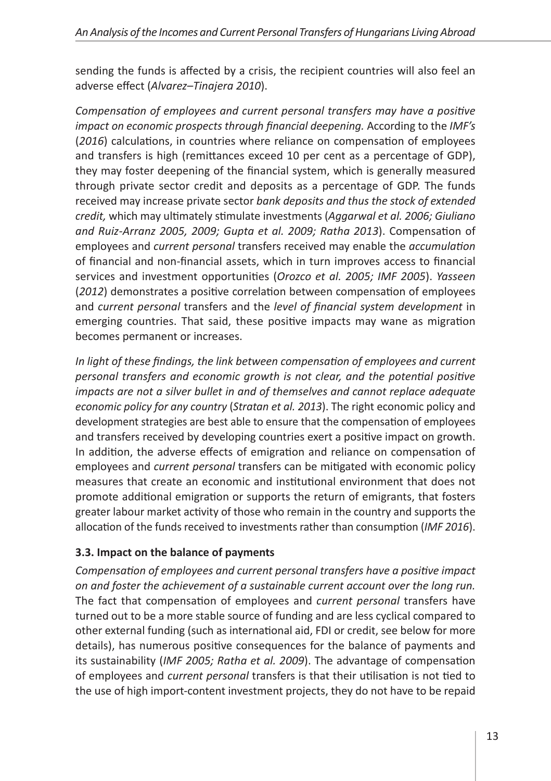sending the funds is affected by a crisis, the recipient countries will also feel an adverse effect (*Alvarez–Tinajera 2010*).

*Compensation of employees and current personal transfers may have a positive impact on economic prospects through financial deepening.* According to the *IMF's* (*2016*) calculations, in countries where reliance on compensation of employees and transfers is high (remittances exceed 10 per cent as a percentage of GDP), they may foster deepening of the financial system, which is generally measured through private sector credit and deposits as a percentage of GDP. The funds received may increase private sector *bank deposits and thus the stock of extended credit,* which may ultimately stimulate investments (*Aggarwal et al. 2006; Giuliano and Ruiz-Arranz 2005, 2009; Gupta et al. 2009; Ratha 2013*). Compensation of employees and *current personal* transfers received may enable the *accumulation* of financial and non-financial assets, which in turn improves access to financial services and investment opportunities (*Orozco et al. 2005; IMF 2005*). *Yasseen*  (*2012*) demonstrates a positive correlation between compensation of employees and *current personal* transfers and the *level of financial system development* in emerging countries. That said, these positive impacts may wane as migration becomes permanent or increases.

*In light of these findings, the link between compensation of employees and current personal transfers and economic growth is not clear, and the potential positive impacts are not a silver bullet in and of themselves and cannot replace adequate economic policy for any country* (*Stratan et al. 2013*). The right economic policy and development strategies are best able to ensure that the compensation of employees and transfers received by developing countries exert a positive impact on growth. In addition, the adverse effects of emigration and reliance on compensation of employees and *current personal* transfers can be mitigated with economic policy measures that create an economic and institutional environment that does not promote additional emigration or supports the return of emigrants, that fosters greater labour market activity of those who remain in the country and supports the allocation of the funds received to investments rather than consumption (*IMF 2016*).

### **3.3. Impact on the balance of payments**

*Compensation of employees and current personal transfers have a positive impact on and foster the achievement of a sustainable current account over the long run.* The fact that compensation of employees and *current personal* transfers have turned out to be a more stable source of funding and are less cyclical compared to other external funding (such as international aid, FDI or credit, see below for more details), has numerous positive consequences for the balance of payments and its sustainability (*IMF 2005; Ratha et al. 2009*). The advantage of compensation of employees and *current personal* transfers is that their utilisation is not tied to the use of high import-content investment projects, they do not have to be repaid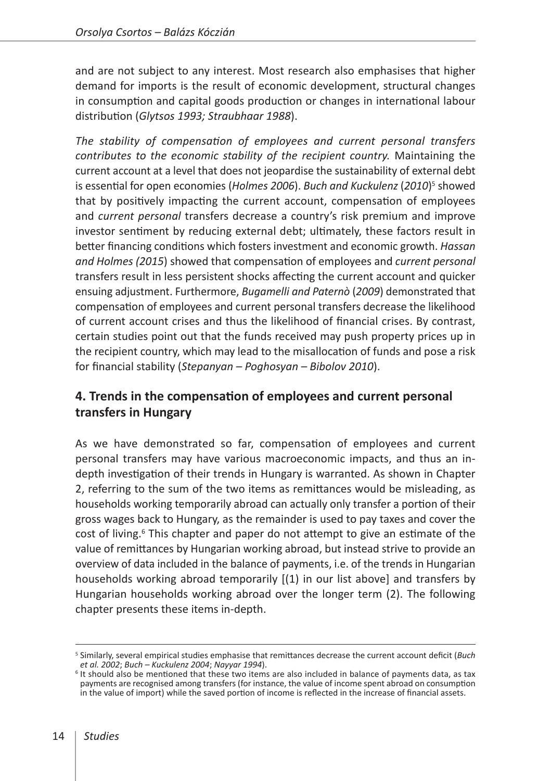and are not subject to any interest. Most research also emphasises that higher demand for imports is the result of economic development, structural changes in consumption and capital goods production or changes in international labour distribution (*Glytsos 1993; Straubhaar 1988*).

*The stability of compensation of employees and current personal transfers contributes to the economic stability of the recipient country.* Maintaining the current account at a level that does not jeopardise the sustainability of external debt is essential for open economies (Holmes 2006). Buch and Kuckulenz (2010)<sup>5</sup> showed that by positively impacting the current account, compensation of employees and *current personal* transfers decrease a country's risk premium and improve investor sentiment by reducing external debt; ultimately, these factors result in better financing conditions which fosters investment and economic growth. *Hassan and Holmes (2015*) showed that compensation of employees and *current personal*  transfers result in less persistent shocks affecting the current account and quicker ensuing adjustment. Furthermore, *Bugamelli and Paternò* (*2009*) demonstrated that compensation of employees and current personal transfers decrease the likelihood of current account crises and thus the likelihood of financial crises. By contrast, certain studies point out that the funds received may push property prices up in the recipient country, which may lead to the misallocation of funds and pose a risk for financial stability (*Stepanyan – Poghosyan – Bibolov 2010*).

### **4. Trends in the compensation of employees and current personal transfers in Hungary**

As we have demonstrated so far, compensation of employees and current personal transfers may have various macroeconomic impacts, and thus an indepth investigation of their trends in Hungary is warranted. As shown in Chapter 2, referring to the sum of the two items as remittances would be misleading, as households working temporarily abroad can actually only transfer a portion of their gross wages back to Hungary, as the remainder is used to pay taxes and cover the cost of living.<sup>6</sup> This chapter and paper do not attempt to give an estimate of the value of remittances by Hungarian working abroad, but instead strive to provide an overview of data included in the balance of payments, i.e. of the trends in Hungarian households working abroad temporarily [(1) in our list above] and transfers by Hungarian households working abroad over the longer term (2). The following chapter presents these items in-depth.

<sup>5</sup> Similarly, several empirical studies emphasise that remittances decrease the current account deficit (*Buch* 

<sup>&</sup>lt;sup>6</sup> It should also be mentioned that these two items are also included in balance of payments data, as tax payments are recognised among transfers (for instance, the value of income spent abroad on consumption in the value of import) while the saved portion of income is reflected in the increase of financial assets.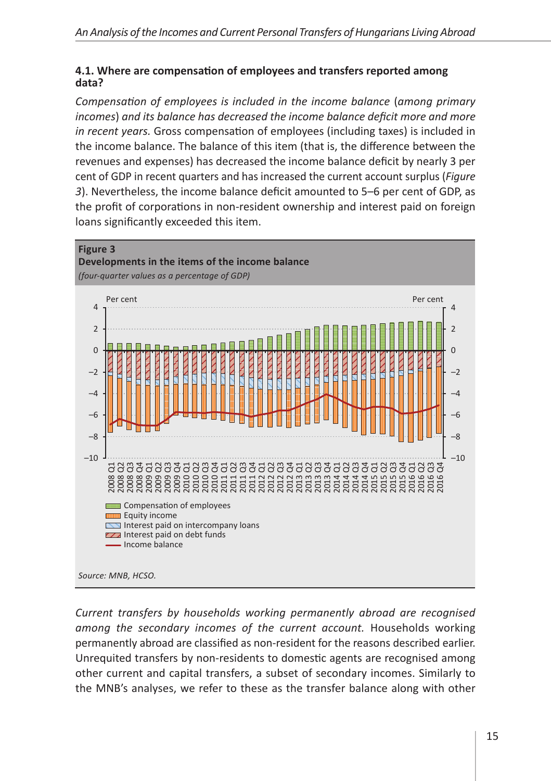#### **4.1. Where are compensation of employees and transfers reported among data?**

*Compensation of employees is included in the income balance* (*among primary incomes*) *and its balance has decreased the income balance deficit more and more in recent years.* Gross compensation of employees (including taxes) is included in the income balance. The balance of this item (that is, the difference between the revenues and expenses) has decreased the income balance deficit by nearly 3 per cent of GDP in recent quarters and has increased the current account surplus (*Figure 3*). Nevertheless, the income balance deficit amounted to 5–6 per cent of GDP, as the profit of corporations in non-resident ownership and interest paid on foreign loans significantly exceeded this item.



*Current transfers by households working permanently abroad are recognised among the secondary incomes of the current account.* Households working permanently abroad are classified as non-resident for the reasons described earlier. Unrequited transfers by non-residents to domestic agents are recognised among other current and capital transfers, a subset of secondary incomes. Similarly to the MNB's analyses, we refer to these as the transfer balance along with other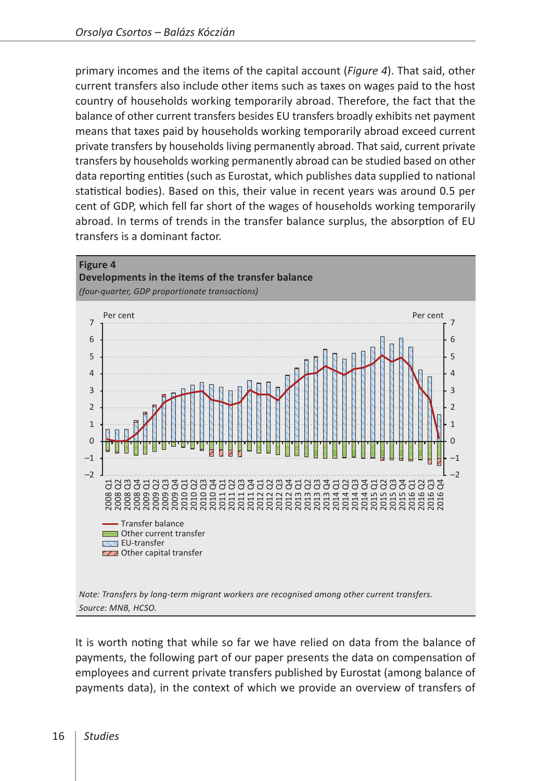primary incomes and the items of the capital account (*Figure 4*). That said, other current transfers also include other items such as taxes on wages paid to the host country of households working temporarily abroad. Therefore, the fact that the balance of other current transfers besides EU transfers broadly exhibits net payment means that taxes paid by households working temporarily abroad exceed current private transfers by households living permanently abroad. That said, current private transfers by households working permanently abroad can be studied based on other data reporting entities (such as Eurostat, which publishes data supplied to national statistical bodies). Based on this, their value in recent years was around 0.5 per cent of GDP, which fell far short of the wages of households working temporarily abroad. In terms of trends in the transfer balance surplus, the absorption of EU transfers is a dominant factor.



It is worth noting that while so far we have relied on data from the balance of payments, the following part of our paper presents the data on compensation of employees and current private transfers published by Eurostat (among balance of payments data), in the context of which we provide an overview of transfers of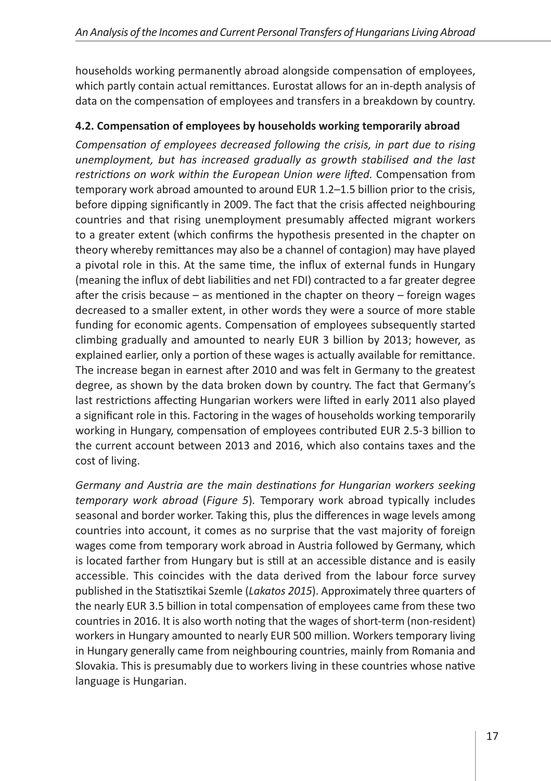households working permanently abroad alongside compensation of employees, which partly contain actual remittances. Eurostat allows for an in-depth analysis of data on the compensation of employees and transfers in a breakdown by country.

# **4.2. Compensation of employees by households working temporarily abroad**

*Compensation of employees decreased following the crisis, in part due to rising unemployment, but has increased gradually as growth stabilised and the last restrictions on work within the European Union were lifted.* Compensation from temporary work abroad amounted to around EUR 1.2–1.5 billion prior to the crisis, before dipping significantly in 2009. The fact that the crisis affected neighbouring countries and that rising unemployment presumably affected migrant workers to a greater extent (which confirms the hypothesis presented in the chapter on theory whereby remittances may also be a channel of contagion) may have played a pivotal role in this. At the same time, the influx of external funds in Hungary (meaning the influx of debt liabilities and net FDI) contracted to a far greater degree after the crisis because – as mentioned in the chapter on theory – foreign wages decreased to a smaller extent, in other words they were a source of more stable funding for economic agents. Compensation of employees subsequently started climbing gradually and amounted to nearly EUR 3 billion by 2013; however, as explained earlier, only a portion of these wages is actually available for remittance. The increase began in earnest after 2010 and was felt in Germany to the greatest degree, as shown by the data broken down by country. The fact that Germany's last restrictions affecting Hungarian workers were lifted in early 2011 also played a significant role in this. Factoring in the wages of households working temporarily working in Hungary, compensation of employees contributed EUR 2.5-3 billion to the current account between 2013 and 2016, which also contains taxes and the cost of living.

*Germany and Austria are the main destinations for Hungarian workers seeking temporary work abroad* (*Figure 5*)*.* Temporary work abroad typically includes seasonal and border worker. Taking this, plus the differences in wage levels among countries into account, it comes as no surprise that the vast majority of foreign wages come from temporary work abroad in Austria followed by Germany, which is located farther from Hungary but is still at an accessible distance and is easily accessible. This coincides with the data derived from the labour force survey published in the Statisztikai Szemle (*Lakatos 2015*). Approximately three quarters of the nearly EUR 3.5 billion in total compensation of employees came from these two countries in 2016. It is also worth noting that the wages of short-term (non-resident) workers in Hungary amounted to nearly EUR 500 million. Workers temporary living in Hungary generally came from neighbouring countries, mainly from Romania and Slovakia. This is presumably due to workers living in these countries whose native language is Hungarian.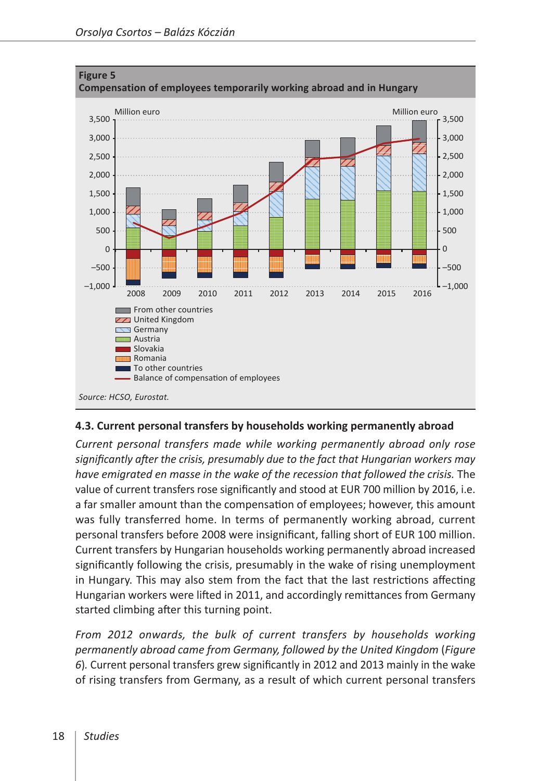

#### **4.3. Current personal transfers by households working permanently abroad**

*Current personal transfers made while working permanently abroad only rose significantly after the crisis, presumably due to the fact that Hungarian workers may have emigrated en masse in the wake of the recession that followed the crisis.* The value of current transfers rose significantly and stood at EUR 700 million by 2016, i.e. a far smaller amount than the compensation of employees; however, this amount was fully transferred home. In terms of permanently working abroad, current personal transfers before 2008 were insignificant, falling short of EUR 100 million. Current transfers by Hungarian households working permanently abroad increased significantly following the crisis, presumably in the wake of rising unemployment in Hungary. This may also stem from the fact that the last restrictions affecting Hungarian workers were lifted in 2011, and accordingly remittances from Germany started climbing after this turning point.

*From 2012 onwards, the bulk of current transfers by households working permanently abroad came from Germany, followed by the United Kingdom* (*Figure 6*)*.* Current personal transfers grew significantly in 2012 and 2013 mainly in the wake of rising transfers from Germany, as a result of which current personal transfers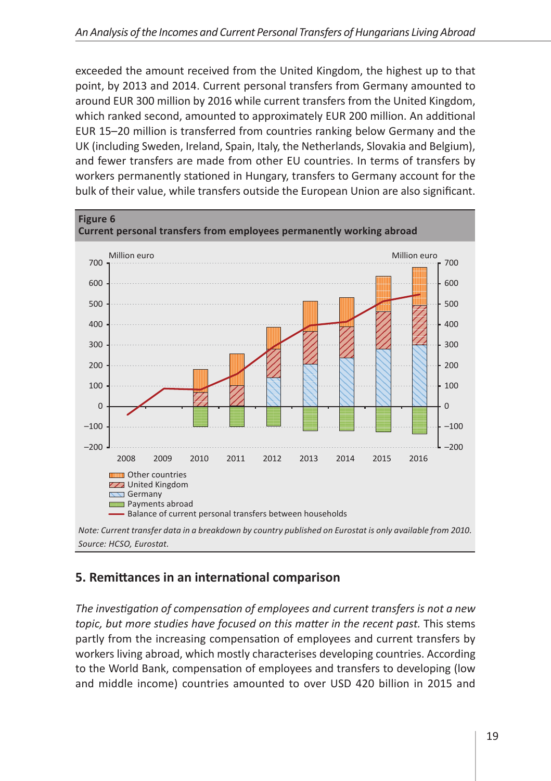exceeded the amount received from the United Kingdom, the highest up to that point, by 2013 and 2014. Current personal transfers from Germany amounted to around EUR 300 million by 2016 while current transfers from the United Kingdom, which ranked second, amounted to approximately EUR 200 million. An additional EUR 15–20 million is transferred from countries ranking below Germany and the UK (including Sweden, Ireland, Spain, Italy, the Netherlands, Slovakia and Belgium), and fewer transfers are made from other EU countries. In terms of transfers by workers permanently stationed in Hungary, transfers to Germany account for the bulk of their value, while transfers outside the European Union are also significant.



# **5. Remittances in an international comparison**

*The investigation of compensation of employees and current transfers is not a new topic, but more studies have focused on this matter in the recent past.* This stems partly from the increasing compensation of employees and current transfers by workers living abroad, which mostly characterises developing countries. According to the World Bank, compensation of employees and transfers to developing (low and middle income) countries amounted to over USD 420 billion in 2015 and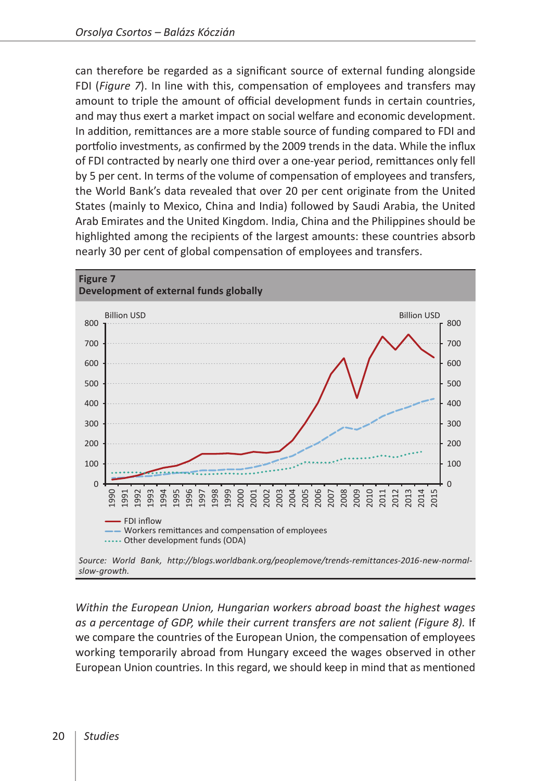can therefore be regarded as a significant source of external funding alongside FDI (*Figure 7*). In line with this, compensation of employees and transfers may amount to triple the amount of official development funds in certain countries, and may thus exert a market impact on social welfare and economic development. In addition, remittances are a more stable source of funding compared to FDI and portfolio investments, as confirmed by the 2009 trends in the data. While the influx of FDI contracted by nearly one third over a one-year period, remittances only fell by 5 per cent. In terms of the volume of compensation of employees and transfers, the World Bank's data revealed that over 20 per cent originate from the United States (mainly to Mexico, China and India) followed by Saudi Arabia, the United Arab Emirates and the United Kingdom. India, China and the Philippines should be highlighted among the recipients of the largest amounts: these countries absorb nearly 30 per cent of global compensation of employees and transfers.



*Within the European Union, Hungarian workers abroad boast the highest wages as a percentage of GDP, while their current transfers are not salient (Figure 8).* If we compare the countries of the European Union, the compensation of employees working temporarily abroad from Hungary exceed the wages observed in other European Union countries. In this regard, we should keep in mind that as mentioned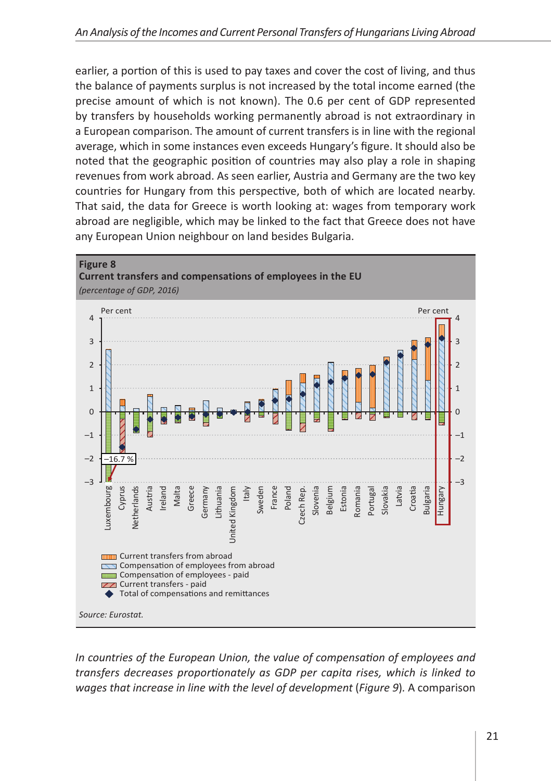earlier, a portion of this is used to pay taxes and cover the cost of living, and thus the balance of payments surplus is not increased by the total income earned (the precise amount of which is not known). The 0.6 per cent of GDP represented by transfers by households working permanently abroad is not extraordinary in a European comparison. The amount of current transfers is in line with the regional average, which in some instances even exceeds Hungary's figure. It should also be noted that the geographic position of countries may also play a role in shaping revenues from work abroad. As seen earlier, Austria and Germany are the two key countries for Hungary from this perspective, both of which are located nearby. That said, the data for Greece is worth looking at: wages from temporary work abroad are negligible, which may be linked to the fact that Greece does not have any European Union neighbour on land besides Bulgaria.



*In countries of the European Union, the value of compensation of employees and transfers decreases proportionately as GDP per capita rises, which is linked to wages that increase in line with the level of development* (*Figure 9*)*.* A comparison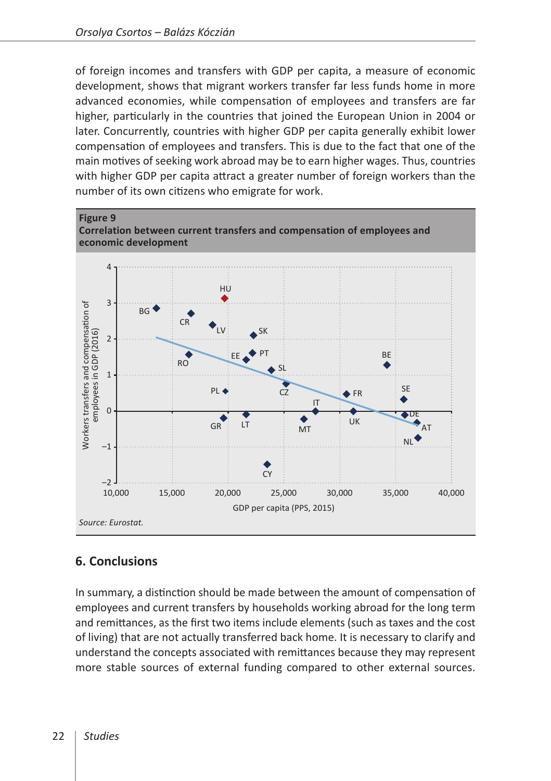of foreign incomes and transfers with GDP per capita, a measure of economic development, shows that migrant workers transfer far less funds home in more advanced economies, while compensation of employees and transfers are far higher, particularly in the countries that joined the European Union in 2004 or later. Concurrently, countries with higher GDP per capita generally exhibit lower compensation of employees and transfers. This is due to the fact that one of the main motives of seeking work abroad may be to earn higher wages. Thus, countries with higher GDP per capita attract a greater number of foreign workers than the number of its own citizens who emigrate for work.



# **6. Conclusions**

In summary, a distinction should be made between the amount of compensation of employees and current transfers by households working abroad for the long term and remittances, as the first two items include elements (such as taxes and the cost of living) that are not actually transferred back home. It is necessary to clarify and understand the concepts associated with remittances because they may represent more stable sources of external funding compared to other external sources.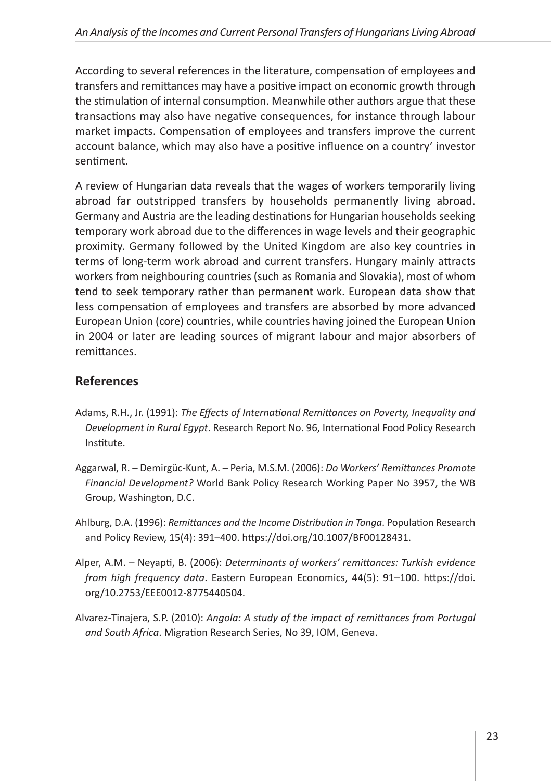According to several references in the literature, compensation of employees and transfers and remittances may have a positive impact on economic growth through the stimulation of internal consumption. Meanwhile other authors argue that these transactions may also have negative consequences, for instance through labour market impacts. Compensation of employees and transfers improve the current account balance, which may also have a positive influence on a country' investor sentiment.

A review of Hungarian data reveals that the wages of workers temporarily living abroad far outstripped transfers by households permanently living abroad. Germany and Austria are the leading destinations for Hungarian households seeking temporary work abroad due to the differences in wage levels and their geographic proximity. Germany followed by the United Kingdom are also key countries in terms of long-term work abroad and current transfers. Hungary mainly attracts workers from neighbouring countries (such as Romania and Slovakia), most of whom tend to seek temporary rather than permanent work. European data show that less compensation of employees and transfers are absorbed by more advanced European Union (core) countries, while countries having joined the European Union in 2004 or later are leading sources of migrant labour and major absorbers of remittances.

# **References**

- Adams, R.H., Jr. (1991): *The Effects of International Remittances on Poverty, Inequality and Development in Rural Egypt*. Research Report No. 96, International Food Policy Research Institute.
- Aggarwal, R. Demirgüc-Kunt, A. Peria, M.S.M. (2006): *Do Workers' Remittances Promote Financial Development?* World Bank Policy Research Working Paper No 3957, the WB Group, Washington, D.C.
- Ahlburg, D.A. (1996): *Remittances and the Income Distribution in Tonga*. Population Research and Policy Review, 15(4): 391–400.<https://doi.org/10.1007/BF00128431>.
- Alper, A.M. Neyapti, B. (2006): *Determinants of workers' remittances: Turkish evidence from high frequency data*. Eastern European Economics, 44(5): 91–100. [https://doi.](https://doi.org/10.2753/EEE0012-8775440504) [org/10.2753/EEE0012-8775440504.](https://doi.org/10.2753/EEE0012-8775440504)
- Alvarez-Tinajera, S.P. (2010): *Angola: A study of the impact of remittances from Portugal and South Africa*. Migration Research Series, No 39, IOM, Geneva.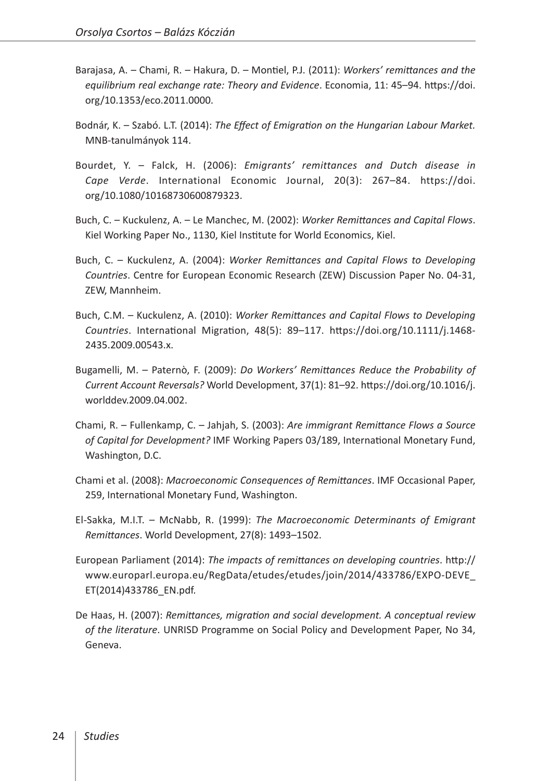- Barajasa, A. Chami, R. Hakura, D. Montiel, P.J. (2011): *Workers' remittances and the equilibrium real exchange rate: Theory and Evidence*. Economia, 11: 45–94. [https://doi.](https://doi.org/10.1353/eco.2011.0000) [org/10.1353/eco.2011.0000](https://doi.org/10.1353/eco.2011.0000).
- Bodnár, K. Szabó. L.T. (2014): *The Effect of Emigration on the Hungarian Labour Market.* MNB-tanulmányok 114.
- Bourdet, Y. Falck, H. (2006): *Emigrants' remittances and Dutch disease in Cape Verde*. International Economic Journal, 20(3): 267–84. [https://doi.](https://doi.org/10.1080/10168730600879323) [org/10.1080/10168730600879323](https://doi.org/10.1080/10168730600879323).
- Buch, C. Kuckulenz, A. Le Manchec, M. (2002): *Worker Remittances and Capital Flows*. Kiel Working Paper No., 1130, Kiel Institute for World Economics, Kiel.
- Buch, C. Kuckulenz, A. (2004): *Worker Remittances and Capital Flows to Developing Countries*. Centre for European Economic Research (ZEW) Discussion Paper No. 04-31, ZEW, Mannheim.
- Buch, C.M. Kuckulenz, A. (2010): *Worker Remittances and Capital Flows to Developing Countries*. International Migration, 48(5): 89–117. [https://doi.org/10.1111/j.1468-](https://doi.org/10.1111/j.1468-2435.2009.00543.x) [2435.2009.00543.x.](https://doi.org/10.1111/j.1468-2435.2009.00543.x)
- Bugamelli, M. Paternò, F. (2009): *Do Workers' Remittances Reduce the Probability of Current Account Reversals?* World Development, 37(1): 81–92. [https://doi.org/10.1016/j.](https://doi.org/10.1016/j.worlddev.2009.04.002) [worlddev.2009.04.002.](https://doi.org/10.1016/j.worlddev.2009.04.002)
- Chami, R. Fullenkamp, C. Jahjah, S. (2003): *Are immigrant Remittance Flows a Source of Capital for Development?* IMF Working Papers 03/189, International Monetary Fund, Washington, D.C.
- Chami et al. (2008): *Macroeconomic Consequences of Remittances*. IMF Occasional Paper, 259, International Monetary Fund, Washington.
- El-Sakka, M.I.T. McNabb, R. (1999): *The Macroeconomic Determinants of Emigrant Remittances*. World Development, 27(8): 1493–1502.
- European Parliament (2014): *The impacts of remittances on developing countries*. [http://](http://www.europarl.europa.eu/RegData/etudes/etudes/join/2014/433786/EXPO-DEVE_ET(2014)433786_EN.pdf) [www.europarl.europa.eu/RegData/etudes/etudes/join/2014/433786/EXPO-DEVE\\_](http://www.europarl.europa.eu/RegData/etudes/etudes/join/2014/433786/EXPO-DEVE_ET(2014)433786_EN.pdf) [ET\(2014\)433786\\_EN.pdf](http://www.europarl.europa.eu/RegData/etudes/etudes/join/2014/433786/EXPO-DEVE_ET(2014)433786_EN.pdf).
- De Haas, H. (2007): *Remittances, migration and social development. A conceptual review of the literature*. UNRISD Programme on Social Policy and Development Paper, No 34, Geneva.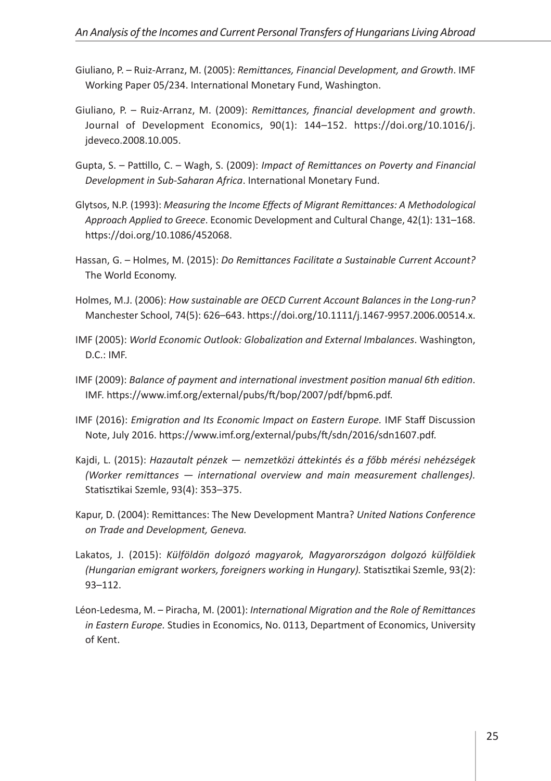- Giuliano, P. Ruiz-Arranz, M. (2005): *Remittances, Financial Development, and Growth*. IMF Working Paper 05/234. International Monetary Fund, Washington.
- Giuliano, P. Ruiz-Arranz, M. (2009): *Remittances, financial development and growth*. Journal of Development Economics, 90(1): 144–152. [https://doi.org/10.1016/j.](https://doi.org/10.1016/j.jdeveco.2008.10.005) [jdeveco.2008.10.005](https://doi.org/10.1016/j.jdeveco.2008.10.005).
- Gupta, S. Pattillo, C. Wagh, S. (2009): *Impact of Remittances on Poverty and Financial Development in Sub-Saharan Africa*. International Monetary Fund.
- Glytsos, N.P. (1993): *Measuring the Income Effects of Migrant Remittances: A Methodological Approach Applied to Greece*. Economic Development and Cultural Change, 42(1): 131–168. <https://doi.org/10.1086/452068>.
- Hassan, G. Holmes, M. (2015): *Do Remittances Facilitate a Sustainable Current Account?* The World Economy.
- Holmes, M.J. (2006): *How sustainable are OECD Current Account Balances in the Long-run?* Manchester School, 74(5): 626–643. [https://doi.org/10.1111/j.1467-9957.2006.00514.x.](https://doi.org/10.1111/j.1467-9957.2006.00514.x)
- IMF (2005): *World Economic Outlook: Globalization and External Imbalances*. Washington, D.C.: IMF.
- IMF (2009): *Balance of payment and international investment position manual 6th edition*. IMF.<https://www.imf.org/external/pubs/ft/bop/2007/pdf/bpm6.pdf>.
- IMF (2016): *Emigration and Its Economic Impact on Eastern Europe.* IMF Staff Discussion Note, July 2016. [https://www.imf.org/external/pubs/ft/sdn/2016/sdn1607.pdf.](https://www.imf.org/external/pubs/ft/sdn/2016/sdn1607.pdf)
- Kajdi, L. (2015): *Hazautalt pénzek nemzetközi áttekintés és a főbb mérési nehézségek (Worker remittances — international overview and main measurement challenges).* Statisztikai Szemle, 93(4): 353–375.
- Kapur, D. (2004): Remittances: The New Development Mantra? *United Nations Conference on Trade and Development, Geneva.*
- Lakatos, J. (2015): *Külföldön dolgozó magyarok, Magyarországon dolgozó külföldiek (Hungarian emigrant workers, foreigners working in Hungary).* Statisztikai Szemle, 93(2): 93–112.
- Léon-Ledesma, M. Piracha, M. (2001): *International Migration and the Role of Remittances in Eastern Europe.* Studies in Economics, No. 0113, Department of Economics, University of Kent.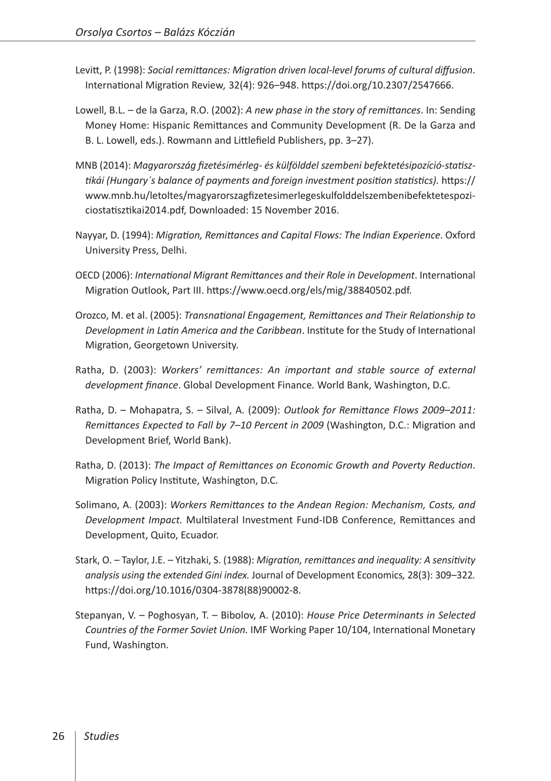- Levitt, P. (1998): *Social remittances: Migration driven local-level forums of cultural diffusion*. International Migration Review*,* 32(4): 926–948. <https://doi.org/10.2307/2547666>.
- Lowell, B.L. de la Garza, R.O. (2002): *A new phase in the story of remittances*. In: Sending Money Home: Hispanic Remittances and Community Development (R. De la Garza and B. L. Lowell, eds.). Rowmann and Littlefield Publishers, pp. 3–27).
- MNB (2014): *Magyarország fizetésimérleg- és külfölddel szembeni befektetésipozíció-statisztikái (Hungary´s balance of payments and foreign investment position statistics).* [https://](https://www.mnb.hu/letoltes/magyarorszagfizetesimerlegeskulfolddelszembenibefektetespoziciostatisztikai2014.pdf) [www.mnb.hu/letoltes/magyarorszagfizetesimerlegeskulfolddelszembenibefektetespozi](https://www.mnb.hu/letoltes/magyarorszagfizetesimerlegeskulfolddelszembenibefektetespoziciostatisztikai2014.pdf)[ciostatisztikai2014.pdf,](https://www.mnb.hu/letoltes/magyarorszagfizetesimerlegeskulfolddelszembenibefektetespoziciostatisztikai2014.pdf) Downloaded: 15 November 2016.
- Nayyar, D. (1994): *Migration, Remittances and Capital Flows: The Indian Experience*. Oxford University Press, Delhi.
- OECD (2006): *International Migrant Remittances and their Role in Development*. International Migration Outlook, Part III. [https://www.oecd.org/els/mig/38840502.pdf.](https://www.oecd.org/els/mig/38840502.pdf)
- Orozco, M. et al. (2005): *Transnational Engagement, Remittances and Their Relationship to Development in Latin America and the Caribbean*. Institute for the Study of International Migration, Georgetown University.
- Ratha, D. (2003): *Workers' remittances: An important and stable source of external development finance*. Global Development Finance*.* World Bank, Washington, D.C.
- Ratha, D. Mohapatra, S. Silval, A. (2009): *Outlook for Remittance Flows 2009–2011: Remittances Expected to Fall by 7–10 Percent in 2009* (Washington, D.C.: Migration and Development Brief, World Bank).
- Ratha, D. (2013): *The Impact of Remittances on Economic Growth and Poverty Reduction*. Migration Policy Institute, Washington, D.C.
- Solimano, A. (2003): *Workers Remittances to the Andean Region: Mechanism, Costs, and Development Impact.* Multilateral Investment Fund-IDB Conference, Remittances and Development, Quito, Ecuador.
- Stark, O. Taylor, J.E. Yitzhaki, S. (1988): *Migration, remittances and inequality: A sensitivity analysis using the extended Gini index.* Journal of Development Economics*,* 28(3): 309–322*.* [https://doi.org/10.1016/0304-3878\(88\)90002-8.](https://doi.org/10.1016/0304-3878(88)90002-8)
- Stepanyan, V. Poghosyan, T. Bibolov, A. (2010): *House Price Determinants in Selected Countries of the Former Soviet Union.* IMF Working Paper 10/104, International Monetary Fund, Washington.